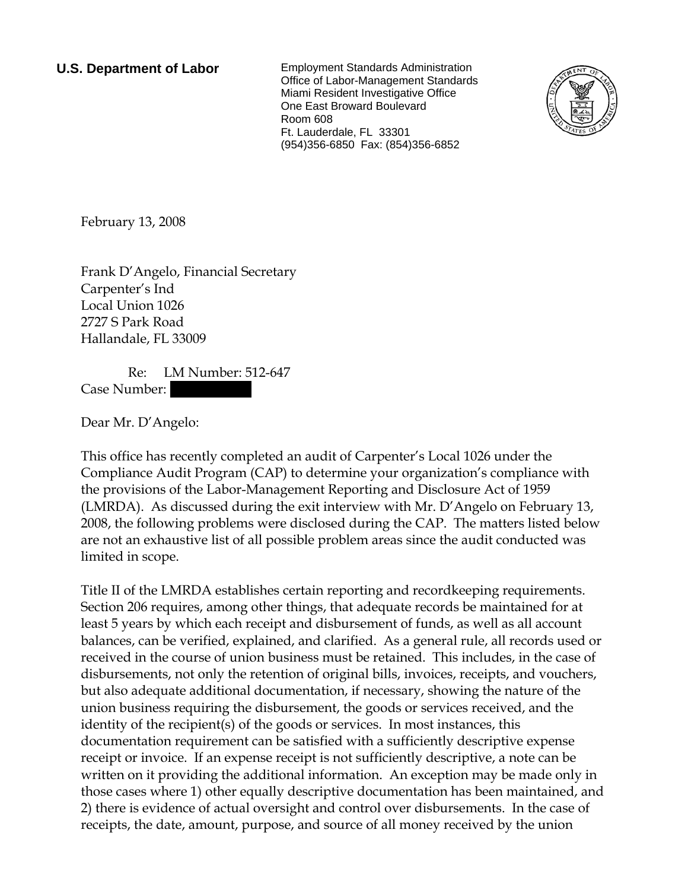**U.S. Department of Labor** Employment Standards Administration Office of Labor-Management Standards Miami Resident Investigative Office One East Broward Boulevard Room 608 Ft. Lauderdale, FL 33301 (954)356-6850 Fax: (854)356-6852



February 13, 2008

Frank D'Angelo, Financial Secretary Carpenter's Ind Local Union 1026 2727 S Park Road Hallandale, FL 33009

 Re: LM Number: 512-647 Case Number:

Dear Mr. D'Angelo:

This office has recently completed an audit of Carpenter's Local 1026 under the Compliance Audit Program (CAP) to determine your organization's compliance with the provisions of the Labor-Management Reporting and Disclosure Act of 1959 (LMRDA). As discussed during the exit interview with Mr. D'Angelo on February 13, 2008, the following problems were disclosed during the CAP. The matters listed below are not an exhaustive list of all possible problem areas since the audit conducted was limited in scope.

Title II of the LMRDA establishes certain reporting and recordkeeping requirements. Section 206 requires, among other things, that adequate records be maintained for at least 5 years by which each receipt and disbursement of funds, as well as all account balances, can be verified, explained, and clarified. As a general rule, all records used or received in the course of union business must be retained. This includes, in the case of disbursements, not only the retention of original bills, invoices, receipts, and vouchers, but also adequate additional documentation, if necessary, showing the nature of the union business requiring the disbursement, the goods or services received, and the identity of the recipient(s) of the goods or services. In most instances, this documentation requirement can be satisfied with a sufficiently descriptive expense receipt or invoice. If an expense receipt is not sufficiently descriptive, a note can be written on it providing the additional information. An exception may be made only in those cases where 1) other equally descriptive documentation has been maintained, and 2) there is evidence of actual oversight and control over disbursements. In the case of receipts, the date, amount, purpose, and source of all money received by the union